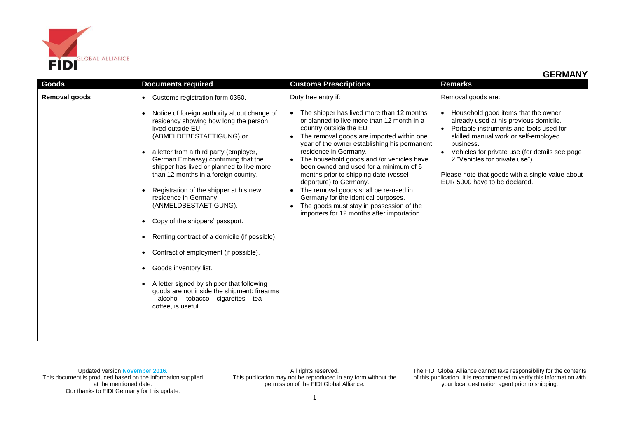

| <b>Goods</b>         | <b>Documents required</b>                                                                                                                                                                                                                                                                                                                                                                                                                                                                                                                                                                                                                                                                                                                                                           | <b>Customs Prescriptions</b>                                                                                                                                                                                                                                                                                                                                                                                                                                                                                                                                                                                    | <b>Remarks</b>                                                                                                                                                                                                                                                                                                                                                               |
|----------------------|-------------------------------------------------------------------------------------------------------------------------------------------------------------------------------------------------------------------------------------------------------------------------------------------------------------------------------------------------------------------------------------------------------------------------------------------------------------------------------------------------------------------------------------------------------------------------------------------------------------------------------------------------------------------------------------------------------------------------------------------------------------------------------------|-----------------------------------------------------------------------------------------------------------------------------------------------------------------------------------------------------------------------------------------------------------------------------------------------------------------------------------------------------------------------------------------------------------------------------------------------------------------------------------------------------------------------------------------------------------------------------------------------------------------|------------------------------------------------------------------------------------------------------------------------------------------------------------------------------------------------------------------------------------------------------------------------------------------------------------------------------------------------------------------------------|
| <b>Removal goods</b> | Customs registration form 0350.<br>$\bullet$<br>Notice of foreign authority about change of<br>residency showing how long the person<br>lived outside EU<br>(ABMELDEBESTAETIGUNG) or<br>a letter from a third party (employer,<br>German Embassy) confirming that the<br>shipper has lived or planned to live more<br>than 12 months in a foreign country.<br>Registration of the shipper at his new<br>residence in Germany<br>(ANMELDBESTAETIGUNG).<br>Copy of the shippers' passport.<br>Renting contract of a domicile (if possible).<br>Contract of employment (if possible).<br>Goods inventory list.<br>A letter signed by shipper that following<br>goods are not inside the shipment: firearms<br>$-$ alcohol $-$ tobacco $-$ cigarettes $-$ tea $-$<br>coffee, is useful. | Duty free entry if:<br>The shipper has lived more than 12 months<br>$\bullet$<br>or planned to live more than 12 month in a<br>country outside the EU<br>The removal goods are imported within one<br>year of the owner establishing his permanent<br>residence in Germany.<br>The household goods and /or vehicles have<br>been owned and used for a minimum of 6<br>months prior to shipping date (vessel<br>departure) to Germany.<br>The removal goods shall be re-used in<br>Germany for the identical purposes.<br>The goods must stay in possession of the<br>importers for 12 months after importation. | Removal goods are:<br>Household good items that the owner<br>already used at his previous domicile.<br>Portable instruments and tools used for<br>skilled manual work or self-employed<br>business.<br>Vehicles for private use (for details see page<br>2 "Vehicles for private use").<br>Please note that goods with a single value about<br>EUR 5000 have to be declared. |

All rights reserved. This publication may not be reproduced in any form without the permission of the FIDI Global Alliance.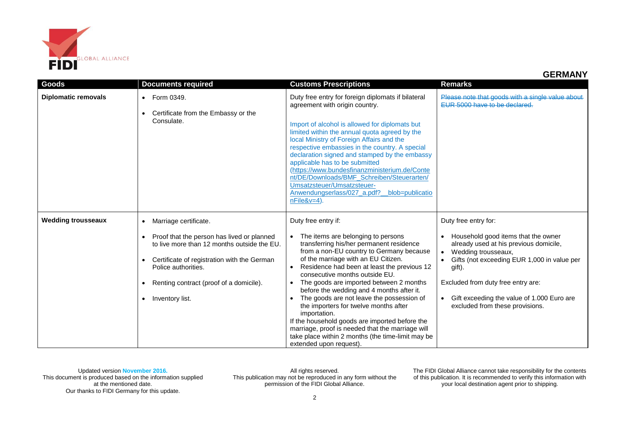

| <b>Goods</b>               | <b>Documents required</b>                                                                                                                                                                                                                                                        | <b>Customs Prescriptions</b>                                                                                                                                                                                                                                                                                                                                                                                                                                                                                                                                                                                                                                  | <b>Remarks</b>                                                                                                                                                                                                                                                                                                              |
|----------------------------|----------------------------------------------------------------------------------------------------------------------------------------------------------------------------------------------------------------------------------------------------------------------------------|---------------------------------------------------------------------------------------------------------------------------------------------------------------------------------------------------------------------------------------------------------------------------------------------------------------------------------------------------------------------------------------------------------------------------------------------------------------------------------------------------------------------------------------------------------------------------------------------------------------------------------------------------------------|-----------------------------------------------------------------------------------------------------------------------------------------------------------------------------------------------------------------------------------------------------------------------------------------------------------------------------|
| <b>Diplomatic removals</b> | • Form 0349.<br>Certificate from the Embassy or the<br>Consulate.                                                                                                                                                                                                                | Duty free entry for foreign diplomats if bilateral<br>agreement with origin country.<br>Import of alcohol is allowed for diplomats but<br>limited within the annual quota agreed by the<br>local Ministry of Foreign Affairs and the<br>respective embassies in the country. A special<br>declaration signed and stamped by the embassy<br>applicable has to be submitted<br>(https://www.bundesfinanzministerium.de/Conte<br>nt/DE/Downloads/BMF_Schreiben/Steuerarten/<br>Umsatzsteuer/Umsatzsteuer-<br>Anwendungserlass/027_a.pdf?_blob=publicatio<br>$nFile&v=4$ ).                                                                                       | Please note that goods with a single value about<br>FUR 5000 have to be declared.                                                                                                                                                                                                                                           |
| <b>Wedding trousseaux</b>  | Marriage certificate.<br>$\bullet$<br>Proof that the person has lived or planned<br>to live more than 12 months outside the EU.<br>Certificate of registration with the German<br>Police authorities.<br>Renting contract (proof of a domicile).<br>Inventory list.<br>$\bullet$ | Duty free entry if:<br>The items are belonging to persons<br>transferring his/her permanent residence<br>from a non-EU country to Germany because<br>of the marriage with an EU Citizen.<br>Residence had been at least the previous 12<br>consecutive months outside EU.<br>The goods are imported between 2 months<br>before the wedding and 4 months after it.<br>The goods are not leave the possession of<br>the importers for twelve months after<br>importation.<br>If the household goods are imported before the<br>marriage, proof is needed that the marriage will<br>take place within 2 months (the time-limit may be<br>extended upon request). | Duty free entry for:<br>Household good items that the owner<br>already used at his previous domicile,<br>Wedding trousseaux,<br>$\bullet$<br>Gifts (not exceeding EUR 1,000 in value per<br>gift).<br>Excluded from duty free entry are:<br>• Gift exceeding the value of 1.000 Euro are<br>excluded from these provisions. |

All rights reserved. This publication may not be reproduced in any form without the permission of the FIDI Global Alliance.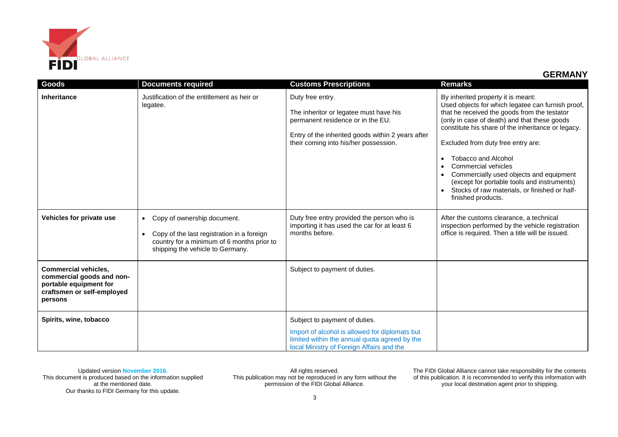

| Goods                                                                                                                       | <b>Documents required</b>                                                                                                                                                             | <b>Customs Prescriptions</b>                                                                                                                                                                  | <b>Remarks</b>                                                                                                                                                                                                                                                                                                                                                                                                                                                                                            |
|-----------------------------------------------------------------------------------------------------------------------------|---------------------------------------------------------------------------------------------------------------------------------------------------------------------------------------|-----------------------------------------------------------------------------------------------------------------------------------------------------------------------------------------------|-----------------------------------------------------------------------------------------------------------------------------------------------------------------------------------------------------------------------------------------------------------------------------------------------------------------------------------------------------------------------------------------------------------------------------------------------------------------------------------------------------------|
| <b>Inheritance</b>                                                                                                          | Justification of the entitlement as heir or<br>legatee.                                                                                                                               | Duty free entry.<br>The inheritor or legatee must have his<br>permanent residence or in the EU.<br>Entry of the inherited goods within 2 years after<br>their coming into his/her possession. | By inherited property it is meant:<br>Used objects for which legatee can furnish proof,<br>that he received the goods from the testator<br>(only in case of death) and that these goods<br>constitute his share of the inheritance or legacy.<br>Excluded from duty free entry are:<br><b>Tobacco and Alcohol</b><br>Commercial vehicles<br>Commercially used objects and equipment<br>(except for portable tools and instruments)<br>Stocks of raw materials, or finished or half-<br>finished products. |
| Vehicles for private use                                                                                                    | Copy of ownership document.<br>$\bullet$<br>Copy of the last registration in a foreign<br>$\bullet$<br>country for a minimum of 6 months prior to<br>shipping the vehicle to Germany. | Duty free entry provided the person who is<br>importing it has used the car for at least 6<br>months before.                                                                                  | After the customs clearance, a technical<br>inspection performed by the vehicle registration<br>office is required. Then a title will be issued.                                                                                                                                                                                                                                                                                                                                                          |
| <b>Commercial vehicles,</b><br>commercial goods and non-<br>portable equipment for<br>craftsmen or self-employed<br>persons |                                                                                                                                                                                       | Subject to payment of duties.                                                                                                                                                                 |                                                                                                                                                                                                                                                                                                                                                                                                                                                                                                           |
| Spirits, wine, tobacco                                                                                                      |                                                                                                                                                                                       | Subject to payment of duties.<br>Import of alcohol is allowed for diplomats but<br>limited within the annual quota agreed by the<br>local Ministry of Foreign Affairs and the                 |                                                                                                                                                                                                                                                                                                                                                                                                                                                                                                           |

All rights reserved. This publication may not be reproduced in any form without the permission of the FIDI Global Alliance.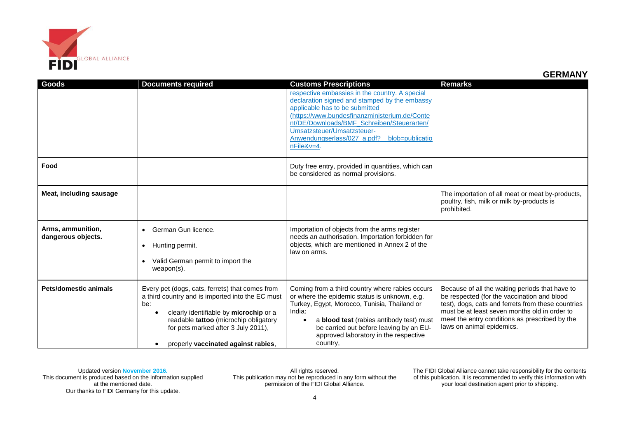

| Goods                                   | <b>Documents required</b>                                                                                                                                                                                                                                                   | <b>Customs Prescriptions</b><br>respective embassies in the country. A special<br>declaration signed and stamped by the embassy<br>applicable has to be submitted<br>(https://www.bundesfinanzministerium.de/Conte<br>nt/DE/Downloads/BMF Schreiben/Steuerarten/<br>Umsatzsteuer/Umsatzsteuer-<br>Anwendungserlass/027 a.pdf? blob=publicatio<br>nFile&v=4. | <b>Remarks</b>                                                                                                                                                                                                                                                                       |
|-----------------------------------------|-----------------------------------------------------------------------------------------------------------------------------------------------------------------------------------------------------------------------------------------------------------------------------|-------------------------------------------------------------------------------------------------------------------------------------------------------------------------------------------------------------------------------------------------------------------------------------------------------------------------------------------------------------|--------------------------------------------------------------------------------------------------------------------------------------------------------------------------------------------------------------------------------------------------------------------------------------|
| Food                                    |                                                                                                                                                                                                                                                                             | Duty free entry, provided in quantities, which can<br>be considered as normal provisions.                                                                                                                                                                                                                                                                   |                                                                                                                                                                                                                                                                                      |
| Meat, including sausage                 |                                                                                                                                                                                                                                                                             |                                                                                                                                                                                                                                                                                                                                                             | The importation of all meat or meat by-products,<br>poultry, fish, milk or milk by-products is<br>prohibited.                                                                                                                                                                        |
| Arms, ammunition,<br>dangerous objects. | German Gun licence.<br>Hunting permit.<br>$\bullet$<br>Valid German permit to import the<br>$\bullet$<br>$weapon(s)$ .                                                                                                                                                      | Importation of objects from the arms register<br>needs an authorisation. Importation forbidden for<br>objects, which are mentioned in Annex 2 of the<br>law on arms.                                                                                                                                                                                        |                                                                                                                                                                                                                                                                                      |
| Pets/domestic animals                   | Every pet (dogs, cats, ferrets) that comes from<br>a third country and is imported into the EC must<br>be:<br>clearly identifiable by microchip or a<br>readable tattoo (microchip obligatory<br>for pets marked after 3 July 2011),<br>properly vaccinated against rabies, | Coming from a third country where rabies occurs<br>or where the epidemic status is unknown, e.g.<br>Turkey, Egypt, Morocco, Tunisia, Thailand or<br>India:<br>a blood test (rabies antibody test) must<br>$\bullet$<br>be carried out before leaving by an EU-<br>approved laboratory in the respective<br>country,                                         | Because of all the waiting periods that have to<br>be respected (for the vaccination and blood<br>test), dogs, cats and ferrets from these countries<br>must be at least seven months old in order to<br>meet the entry conditions as prescribed by the<br>laws on animal epidemics. |

All rights reserved. This publication may not be reproduced in any form without the permission of the FIDI Global Alliance.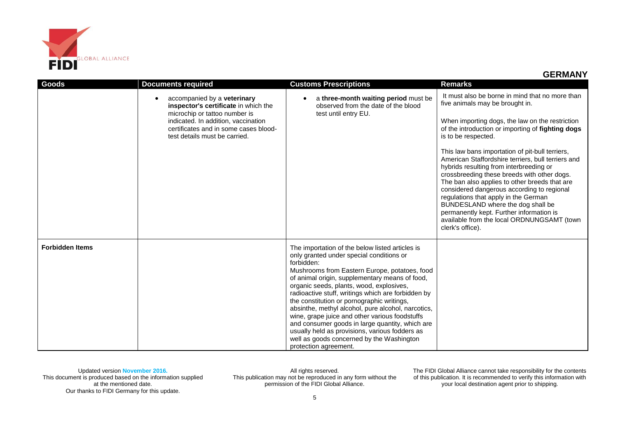

| Goods                  | <b>Documents required</b>                                                                                                                                                                                             | <b>Customs Prescriptions</b>                                                                                                                                                                                                                                                                                                                                                                                                                                                                                                                                                                                                                    | Remarks                                                                                                                                                                                                                                                                                                                                                                                                                                                                                                                                                                                                                                                                                                        |
|------------------------|-----------------------------------------------------------------------------------------------------------------------------------------------------------------------------------------------------------------------|-------------------------------------------------------------------------------------------------------------------------------------------------------------------------------------------------------------------------------------------------------------------------------------------------------------------------------------------------------------------------------------------------------------------------------------------------------------------------------------------------------------------------------------------------------------------------------------------------------------------------------------------------|----------------------------------------------------------------------------------------------------------------------------------------------------------------------------------------------------------------------------------------------------------------------------------------------------------------------------------------------------------------------------------------------------------------------------------------------------------------------------------------------------------------------------------------------------------------------------------------------------------------------------------------------------------------------------------------------------------------|
|                        | accompanied by a veterinary<br>inspector's certificate in which the<br>microchip or tattoo number is<br>indicated. In addition, vaccination<br>certificates and in some cases blood-<br>test details must be carried. | a three-month waiting period must be<br>$\bullet$<br>observed from the date of the blood<br>test until entry EU.                                                                                                                                                                                                                                                                                                                                                                                                                                                                                                                                | It must also be borne in mind that no more than<br>five animals may be brought in.<br>When importing dogs, the law on the restriction<br>of the introduction or importing of fighting dogs<br>is to be respected.<br>This law bans importation of pit-bull terriers,<br>American Staffordshire terriers, bull terriers and<br>hybrids resulting from interbreeding or<br>crossbreeding these breeds with other dogs.<br>The ban also applies to other breeds that are<br>considered dangerous according to regional<br>regulations that apply in the German<br>BUNDESLAND where the dog shall be<br>permanently kept. Further information is<br>available from the local ORDNUNGSAMT (town<br>clerk's office). |
| <b>Forbidden Items</b> |                                                                                                                                                                                                                       | The importation of the below listed articles is<br>only granted under special conditions or<br>forbidden:<br>Mushrooms from Eastern Europe, potatoes, food<br>of animal origin, supplementary means of food,<br>organic seeds, plants, wood, explosives,<br>radioactive stuff, writings which are forbidden by<br>the constitution or pornographic writings,<br>absinthe, methyl alcohol, pure alcohol, narcotics,<br>wine, grape juice and other various foodstuffs<br>and consumer goods in large quantity, which are<br>usually held as provisions, various fodders as<br>well as goods concerned by the Washington<br>protection agreement. |                                                                                                                                                                                                                                                                                                                                                                                                                                                                                                                                                                                                                                                                                                                |

All rights reserved. This publication may not be reproduced in any form without the permission of the FIDI Global Alliance.